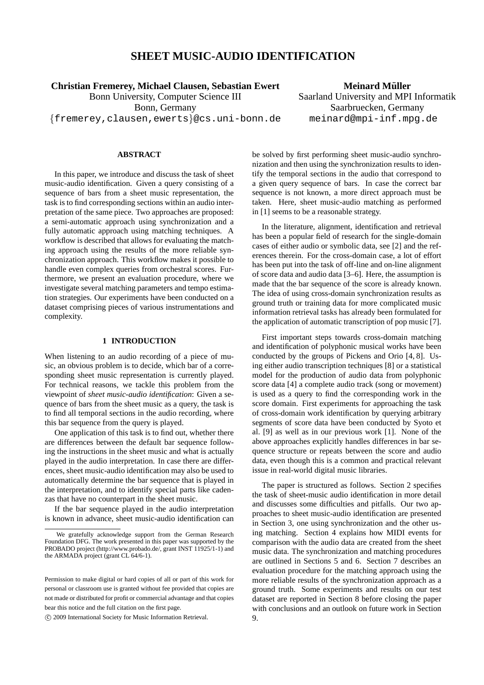# **SHEET MUSIC-AUDIO IDENTIFICATION**

**Christian Fremerey, Michael Clausen, Sebastian Ewert**

Bonn University, Computer Science III Bonn, Germany {fremerey,clausen,ewerts}@cs.uni-bonn.de

**Meinard Müller** Saarland University and MPI Informatik Saarbruecken, Germany meinard@mpi-inf.mpg.de

# **ABSTRACT**

In this paper, we introduce and discuss the task of sheet music-audio identification. Given a query consisting of a sequence of bars from a sheet music representation, the task is to find corresponding sections within an audio interpretation of the same piece. Two approaches are proposed: a semi-automatic approach using synchronization and a fully automatic approach using matching techniques. A workflow is described that allows for evaluating the matching approach using the results of the more reliable synchronization approach. This workflow makes it possible to handle even complex queries from orchestral scores. Furthermore, we present an evaluation procedure, where we investigate several matching parameters and tempo estimation strategies. Our experiments have been conducted on a dataset comprising pieces of various instrumentations and complexity.

## **1 INTRODUCTION**

When listening to an audio recording of a piece of music, an obvious problem is to decide, which bar of a corresponding sheet music representation is currently played. For technical reasons, we tackle this problem from the viewpoint of *sheet music-audio identification*: Given a sequence of bars from the sheet music as a query, the task is to find all temporal sections in the audio recording, where this bar sequence from the query is played.

One application of this task is to find out, whether there are differences between the default bar sequence following the instructions in the sheet music and what is actually played in the audio interpretation. In case there are differences, sheet music-audio identification may also be used to automatically determine the bar sequence that is played in the interpretation, and to identify special parts like cadenzas that have no counterpart in the sheet music.

If the bar sequence played in the audio interpretation is known in advance, sheet music-audio identification can

be solved by first performing sheet music-audio synchronization and then using the synchronization results to identify the temporal sections in the audio that correspond to a given query sequence of bars. In case the correct bar sequence is not known, a more direct approach must be taken. Here, sheet music-audio matching as performed in [1] seems to be a reasonable strategy.

In the literature, alignment, identification and retrieval has been a popular field of research for the single-domain cases of either audio or symbolic data, see [2] and the references therein. For the cross-domain case, a lot of effort has been put into the task of off-line and on-line alignment of score data and audio data [3–6]. Here, the assumption is made that the bar sequence of the score is already known. The idea of using cross-domain synchronization results as ground truth or training data for more complicated music information retrieval tasks has already been formulated for the application of automatic transcription of pop music [7].

First important steps towards cross-domain matching and identification of polyphonic musical works have been conducted by the groups of Pickens and Orio [4, 8]. Using either audio transcription techniques [8] or a statistical model for the production of audio data from polyphonic score data [4] a complete audio track (song or movement) is used as a query to find the corresponding work in the score domain. First experiments for approaching the task of cross-domain work identification by querying arbitrary segments of score data have been conducted by Syoto et al. [9] as well as in our previous work [1]. None of the above approaches explicitly handles differences in bar sequence structure or repeats between the score and audio data, even though this is a common and practical relevant issue in real-world digital music libraries.

The paper is structured as follows. Section 2 specifies the task of sheet-music audio identification in more detail and discusses some difficulties and pitfalls. Our two approaches to sheet music-audio identification are presented in Section 3, one using synchronization and the other using matching. Section 4 explains how MIDI events for comparison with the audio data are created from the sheet music data. The synchronization and matching procedures are outlined in Sections 5 and 6. Section 7 describes an evaluation procedure for the matching approach using the more reliable results of the synchronization approach as a ground truth. Some experiments and results on our test dataset are reported in Section 8 before closing the paper with conclusions and an outlook on future work in Section 9.

We gratefully acknowledge support from the German Research Foundation DFG. The work presented in this paper was supported by the PROBADO project (http://www.probado.de/, grant INST 11925/1-1) and the ARMADA project (grant CL 64/6-1).

Permission to make digital or hard copies of all or part of this work for personal or classroom use is granted without fee provided that copies are not made or distributed for profit or commercial advantage and that copies bear this notice and the full citation on the first page.

c 2009 International Society for Music Information Retrieval.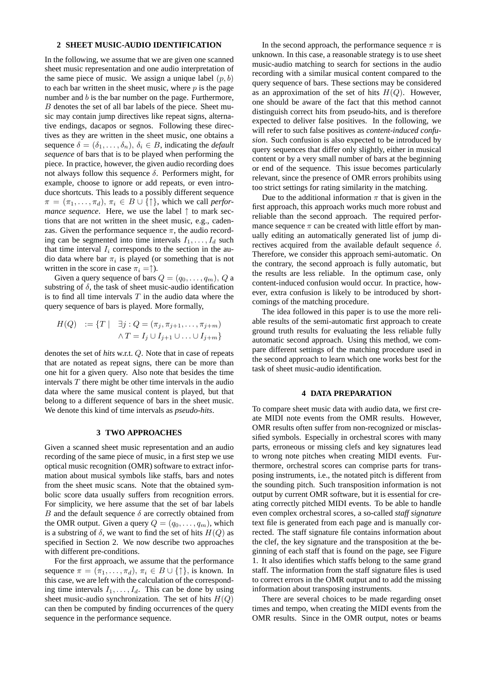#### **2 SHEET MUSIC-AUDIO IDENTIFICATION**

In the following, we assume that we are given one scanned sheet music representation and one audio interpretation of the same piece of music. We assign a unique label  $(p, b)$ to each bar written in the sheet music, where  $p$  is the page number and  $b$  is the bar number on the page. Furthermore, B denotes the set of all bar labels of the piece. Sheet music may contain jump directives like repeat signs, alternative endings, dacapos or segnos. Following these directives as they are written in the sheet music, one obtains a sequence  $\delta = (\delta_1, \ldots, \delta_n), \, \delta_i \in B$ , indicating the *default sequence* of bars that is to be played when performing the piece. In practice, however, the given audio recording does not always follow this sequence δ. Performers might, for example, choose to ignore or add repeats, or even introduce shortcuts. This leads to a possibly different sequence  $\pi = (\pi_1, \ldots, \pi_d), \pi_i \in B \cup \{\uparrow\},$  which we call *performance sequence*. Here, we use the label ↑ to mark sections that are not written in the sheet music, e.g., cadenzas. Given the performance sequence  $\pi$ , the audio recording can be segmented into time intervals  $I_1, \ldots, I_d$  such that time interval  $I_i$  corresponds to the section in the audio data where bar  $\pi_i$  is played (or something that is not written in the score in case  $\pi_i = \uparrow$ ).

Given a query sequence of bars  $Q = (q_0, \ldots, q_m)$ , Q a substring of  $\delta$ , the task of sheet music-audio identification is to find all time intervals  $T$  in the audio data where the query sequence of bars is played. More formally,

$$
H(Q) := \{ T \mid \exists j : Q = (\pi_j, \pi_{j+1}, \dots, \pi_{j+m})
$$
  

$$
\land T = I_j \cup I_{j+1} \cup \dots \cup I_{j+m} \}
$$

denotes the set of *hits* w.r.t. Q. Note that in case of repeats that are notated as repeat signs, there can be more than one hit for a given query. Also note that besides the time intervals  $T$  there might be other time intervals in the audio data where the same musical content is played, but that belong to a different sequence of bars in the sheet music. We denote this kind of time intervals as *pseudo-hits*.

## **3 TWO APPROACHES**

Given a scanned sheet music representation and an audio recording of the same piece of music, in a first step we use optical music recognition (OMR) software to extract information about musical symbols like staffs, bars and notes from the sheet music scans. Note that the obtained symbolic score data usually suffers from recognition errors. For simplicity, we here assume that the set of bar labels B and the default sequence  $\delta$  are correctly obtained from the OMR output. Given a query  $Q = (q_0, \ldots, q_m)$ , which is a substring of  $\delta$ , we want to find the set of hits  $H(Q)$  as specified in Section 2. We now describe two approaches with different pre-conditions.

For the first approach, we assume that the performance sequence  $\pi = (\pi_1, \ldots, \pi_d), \pi_i \in B \cup \{\uparrow\},\$ is known. In this case, we are left with the calculation of the corresponding time intervals  $I_1, \ldots, I_d$ . This can be done by using sheet music-audio synchronization. The set of hits  $H(Q)$ can then be computed by finding occurrences of the query sequence in the performance sequence.

In the second approach, the performance sequence  $\pi$  is unknown. In this case, a reasonable strategy is to use sheet music-audio matching to search for sections in the audio recording with a similar musical content compared to the query sequence of bars. These sections may be considered as an approximation of the set of hits  $H(Q)$ . However, one should be aware of the fact that this method cannot distinguish correct hits from pseudo-hits, and is therefore expected to deliver false positives. In the following, we will refer to such false positives as *content-induced confusion*. Such confusion is also expected to be introduced by query sequences that differ only slightly, either in musical content or by a very small number of bars at the beginning or end of the sequence. This issue becomes particularly relevant, since the presence of OMR errors prohibits using too strict settings for rating similarity in the matching.

Due to the additional information  $\pi$  that is given in the first approach, this approach works much more robust and reliable than the second approach. The required performance sequence  $\pi$  can be created with little effort by manually editing an automatically generated list of jump directives acquired from the available default sequence  $\delta$ . Therefore, we consider this approach semi-automatic. On the contrary, the second approach is fully automatic, but the results are less reliable. In the optimum case, only content-induced confusion would occur. In practice, however, extra confusion is likely to be introduced by shortcomings of the matching procedure.

The idea followed in this paper is to use the more reliable results of the semi-automatic first approach to create ground truth results for evaluating the less reliable fully automatic second approach. Using this method, we compare different settings of the matching procedure used in the second approach to learn which one works best for the task of sheet music-audio identification.

## **4 DATA PREPARATION**

To compare sheet music data with audio data, we first create MIDI note events from the OMR results. However, OMR results often suffer from non-recognized or misclassified symbols. Especially in orchestral scores with many parts, erroneous or missing clefs and key signatures lead to wrong note pitches when creating MIDI events. Furthermore, orchestral scores can comprise parts for transposing instruments, i.e., the notated pitch is different from the sounding pitch. Such transposition information is not output by current OMR software, but it is essential for creating correctly pitched MIDI events. To be able to handle even complex orchestral scores, a so-called *staff signature* text file is generated from each page and is manually corrected. The staff signature file contains information about the clef, the key signature and the transposition at the beginning of each staff that is found on the page, see Figure 1. It also identifies which staffs belong to the same grand staff. The information from the staff signature files is used to correct errors in the OMR output and to add the missing information about transposing instruments.

There are several choices to be made regarding onset times and tempo, when creating the MIDI events from the OMR results. Since in the OMR output, notes or beams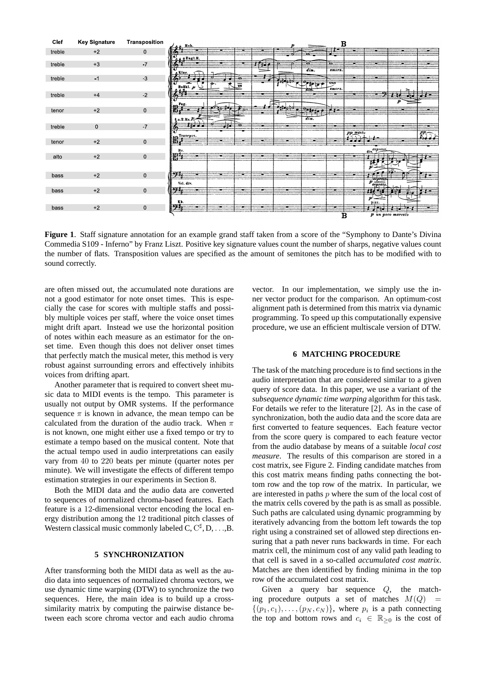

**Figure 1**. Staff signature annotation for an example grand staff taken from a score of the "Symphony to Dante's Divina Commedia S109 - Inferno" by Franz Liszt. Positive key signature values count the number of sharps, negative values count the number of flats. Transposition values are specified as the amount of semitones the pitch has to be modified with to sound correctly.

are often missed out, the accumulated note durations are not a good estimator for note onset times. This is especially the case for scores with multiple staffs and possibly multiple voices per staff, where the voice onset times might drift apart. Instead we use the horizontal position of notes within each measure as an estimator for the onset time. Even though this does not deliver onset times that perfectly match the musical meter, this method is very robust against surrounding errors and effectively inhibits voices from drifting apart.

Another parameter that is required to convert sheet music data to MIDI events is the tempo. This parameter is usually not output by OMR systems. If the performance sequence  $\pi$  is known in advance, the mean tempo can be calculated from the duration of the audio track. When  $\pi$ is not known, one might either use a fixed tempo or try to estimate a tempo based on the musical content. Note that the actual tempo used in audio interpretations can easily vary from 40 to 220 beats per minute (quarter notes per minute). We will investigate the effects of different tempo estimation strategies in our experiments in Section 8.

Both the MIDI data and the audio data are converted to sequences of normalized chroma-based features. Each feature is a 12-dimensional vector encoding the local energy distribution among the 12 traditional pitch classes of Western classical music commonly labeled  $C, C^{\sharp}, D, \ldots, B$ .

#### **5 SYNCHRONIZATION**

After transforming both the MIDI data as well as the audio data into sequences of normalized chroma vectors, we use dynamic time warping (DTW) to synchronize the two sequences. Here, the main idea is to build up a crosssimilarity matrix by computing the pairwise distance between each score chroma vector and each audio chroma

vector. In our implementation, we simply use the inner vector product for the comparison. An optimum-cost alignment path is determined from this matrix via dynamic programming. To speed up this computationally expensive procedure, we use an efficient multiscale version of DTW.

### **6 MATCHING PROCEDURE**

The task of the matching procedure is to find sections in the audio interpretation that are considered similar to a given query of score data. In this paper, we use a variant of the *subsequence dynamic time warping* algorithm for this task. For details we refer to the literature [2]. As in the case of synchronization, both the audio data and the score data are first converted to feature sequences. Each feature vector from the score query is compared to each feature vector from the audio database by means of a suitable *local cost measure*. The results of this comparison are stored in a cost matrix, see Figure 2. Finding candidate matches from this cost matrix means finding paths connecting the bottom row and the top row of the matrix. In particular, we are interested in paths  $p$  where the sum of the local cost of the matrix cells covered by the path is as small as possible. Such paths are calculated using dynamic programming by iteratively advancing from the bottom left towards the top right using a constrained set of allowed step directions ensuring that a path never runs backwards in time. For each matrix cell, the minimum cost of any valid path leading to that cell is saved in a so-called *accumulated cost matrix*. Matches are then identified by finding minima in the top row of the accumulated cost matrix.

Given a query bar sequence Q, the matching procedure outputs a set of matches  $M(Q)$  $\{(p_1, c_1), \ldots, (p_N, c_N)\}\$ , where  $p_i$  is a path connecting the top and bottom rows and  $c_i \in \mathbb{R}_{\geq 0}$  is the cost of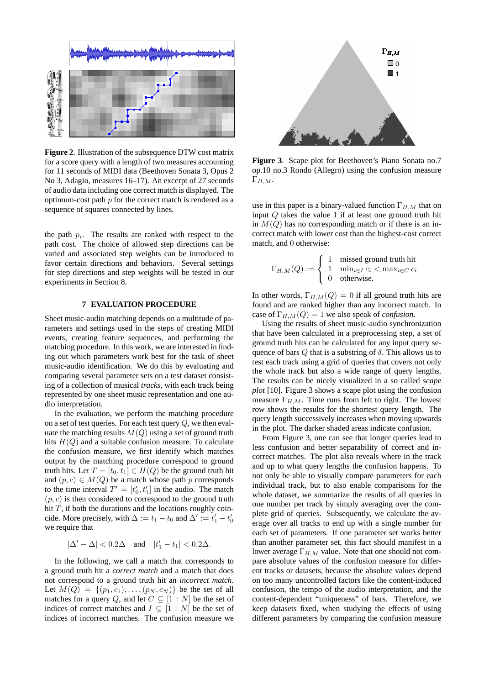

**Figure 2**. Illustration of the subsequence DTW cost matrix for a score query with a length of two measures accounting for 11 seconds of MIDI data (Beethoven Sonata 3, Opus 2 No 3, Adagio, measures 16–17). An excerpt of 27 seconds of audio data including one correct match is displayed. The optimum-cost path  $p$  for the correct match is rendered as a sequence of squares connected by lines.

the path  $p_i$ . The results are ranked with respect to the path cost. The choice of allowed step directions can be varied and associated step weights can be introduced to favor certain directions and behaviors. Several settings for step directions and step weights will be tested in our experiments in Section 8.

## **7 EVALUATION PROCEDURE**

Sheet music-audio matching depends on a multitude of parameters and settings used in the steps of creating MIDI events, creating feature sequences, and performing the matching procedure. In this work, we are interested in finding out which parameters work best for the task of sheet music-audio identification. We do this by evaluating and comparing several parameter sets on a test dataset consisting of a collection of musical *tracks*, with each track being represented by one sheet music representation and one audio interpretation.

In the evaluation, we perform the matching procedure on a set of test queries. For each test query  $Q$ , we then evaluate the matching results  $M(Q)$  using a set of ground truth hits  $H(Q)$  and a suitable confusion measure. To calculate the confusion measure, we first identify which matches output by the matching procedure correspond to ground truth hits. Let  $T = [t_0, t_1] \in H(Q)$  be the ground truth hit and  $(p, c) \in M(Q)$  be a match whose path p corresponds to the time interval  $T' = [t'_0, t'_1]$  in the audio. The match  $(p, c)$  is then considered to correspond to the ground truth hit  $T$ , if both the durations and the locations roughly coincide. More precisely, with  $\Delta := t_1 - t_0$  and  $\Delta' := t'_1 - t'_0$ we require that

 $|\Delta' - \Delta| < 0.2\Delta$  and  $|t'_1 - t_1| < 0.2\Delta$ .

In the following, we call a match that corresponds to a ground truth hit a *correct match* and a match that does not correspond to a ground truth hit an *incorrect match*. Let  $M(Q) = \{(p_1, c_1), \ldots, (p_N, c_N)\}\)$  be the set of all matches for a query Q, and let  $C \subseteq [1:N]$  be the set of indices of correct matches and  $I \subseteq [1:N]$  be the set of indices of incorrect matches. The confusion measure we



**Figure 3**. Scape plot for Beethoven's Piano Sonata no.7 op.10 no.3 Rondo (Allegro) using the confusion measure  $\Gamma_{H,M}.$ 

use in this paper is a binary-valued function  $\Gamma_{H,M}$  that on input Q takes the value 1 if at least one ground truth hit in  $M(Q)$  has no corresponding match or if there is an incorrect match with lower cost than the highest-cost correct match, and 0 otherwise:

$$
\Gamma_{H,M}(Q) := \begin{cases} 1 & \text{missed ground truth hit} \\ 1 & \min_{i \in I} c_i < \max_{i \in C} c_i \\ 0 & \text{otherwise.} \end{cases}
$$

In other words,  $\Gamma_{H,M}(Q) = 0$  if all ground truth hits are found and are ranked higher than any incorrect match. In case of  $\Gamma_{H,M}(Q) = 1$  we also speak of *confusion*.

Using the results of sheet music-audio synchronization that have been calculated in a preprocessing step, a set of ground truth hits can be calculated for any input query sequence of bars  $Q$  that is a substring of  $\delta$ . This allows us to test each track using a grid of queries that covers not only the whole track but also a wide range of query lengths. The results can be nicely visualized in a so called *scape plot* [10]. Figure 3 shows a scape plot using the confusion measure  $\Gamma_{H,M}$ . Time runs from left to right. The lowest row shows the results for the shortest query length. The query length successively increases when moving upwards in the plot. The darker shaded areas indicate confusion.

From Figure 3, one can see that longer queries lead to less confusion and better separability of correct and incorrect matches. The plot also reveals where in the track and up to what query lengths the confusion happens. To not only be able to visually compare parameters for each individual track, but to also enable comparisons for the whole dataset, we summarize the results of all queries in one number per track by simply averaging over the complete grid of queries. Subsequently, we calculate the average over all tracks to end up with a single number for each set of parameters. If one parameter set works better than another parameter set, this fact should manifest in a lower average  $\Gamma_{H,M}$  value. Note that one should not compare absolute values of the confusion measure for different tracks or datasets, because the absolute values depend on too many uncontrolled factors like the content-induced confusion, the tempo of the audio interpretation, and the content-dependent "uniqueness" of bars. Therefore, we keep datasets fixed, when studying the effects of using different parameters by comparing the confusion measure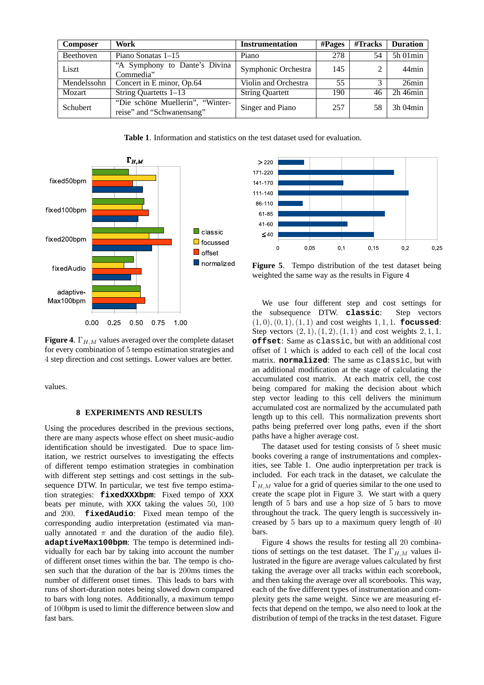| <b>Composer</b> | Work                                                          | <b>Instrumentation</b> | $\# \mathbf{P} \mathbf{ages}$ | #Tracks | <b>Duration</b> |
|-----------------|---------------------------------------------------------------|------------------------|-------------------------------|---------|-----------------|
| Beethoven       | Piano Sonatas $1-15$                                          | Piano                  | 278                           | 54      | $5h$ 01 $min$   |
| Liszt           | "A Symphony to Dante's Divina<br>Commedia"                    | Symphonic Orchestra    | 145                           |         | 44min           |
| Mendelssohn     | Concert in E minor, Op.64                                     | Violin and Orchestra   | 55                            |         | 26min           |
| Mozart          | String Quartetts 1–13                                         | <b>String Quartett</b> | 190                           | 46      | $2h$ 46 $min$   |
| Schubert        | "Die schöne Muellerin", "Winter-<br>reise" and "Schwanensang" | Singer and Piano       | 257                           | 58      | 3h 04min        |

**Table 1**. Information and statistics on the test dataset used for evaluation.



**Figure 4.**  $\Gamma_{H,M}$  values averaged over the complete dataset for every combination of 5 tempo estimation strategies and 4 step direction and cost settings. Lower values are better.

values.

#### **8 EXPERIMENTS AND RESULTS**

Using the procedures described in the previous sections, there are many aspects whose effect on sheet music-audio identification should be investigated. Due to space limitation, we restrict ourselves to investigating the effects of different tempo estimation strategies in combination with different step settings and cost settings in the subsequence DTW. In particular, we test five tempo estimation strategies: **fixedXXXbpm**: Fixed tempo of XXX beats per minute, with XXX taking the values 50, 100 and 200. **fixedAudio**: Fixed mean tempo of the corresponding audio interpretation (estimated via manually annotated  $\pi$  and the duration of the audio file). **adaptiveMax100bpm**: The tempo is determined individually for each bar by taking into account the number of different onset times within the bar. The tempo is chosen such that the duration of the bar is 200ms times the number of different onset times. This leads to bars with runs of short-duration notes being slowed down compared to bars with long notes. Additionally, a maximum tempo of 100bpm is used to limit the difference between slow and fast bars.



**Figure 5**. Tempo distribution of the test dataset being weighted the same way as the results in Figure 4

We use four different step and cost settings for the subsequence DTW. **classic**: Step vectors (1, 0),(0, 1),(1, 1) and cost weights 1, 1, 1. **focussed**: Step vectors  $(2, 1), (1, 2), (1, 1)$  and cost weights  $2, 1, 1$ . **offset**: Same as classic, but with an additional cost offset of 1 which is added to each cell of the local cost matrix. **normalized**: The same as classic, but with an additional modification at the stage of calculating the accumulated cost matrix. At each matrix cell, the cost being compared for making the decision about which step vector leading to this cell delivers the minimum accumulated cost are normalized by the accumulated path length up to this cell. This normalization prevents short paths being preferred over long paths, even if the short paths have a higher average cost.

The dataset used for testing consists of 5 sheet music books covering a range of instrumentations and complexities, see Table 1. One audio inpterpretation per track is included. For each track in the dataset, we calculate the  $\Gamma_{H,M}$  value for a grid of queries similar to the one used to create the scape plot in Figure 3. We start with a query length of 5 bars and use a hop size of 5 bars to move throughout the track. The query length is successively increased by 5 bars up to a maximum query length of 40 bars.

Figure 4 shows the results for testing all 20 combinations of settings on the test dataset. The  $\Gamma_{H,M}$  values illustrated in the figure are average values calculated by first taking the average over all tracks within each scorebook, and then taking the average over all scorebooks. This way, each of the five different types of instrumentation and complexity gets the same weight. Since we are measuring effects that depend on the tempo, we also need to look at the distribution of tempi of the tracks in the test dataset. Figure